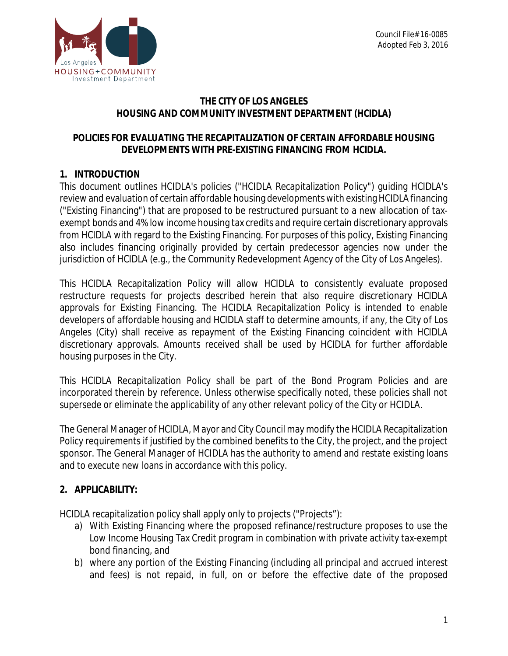

## **THE CITY OF LOS ANGELES HOUSING AND COMMUNITY INVESTMENT DEPARTMENT (HCIDLA)**

# **POLICIES FOR EVALUATING THE RECAPITALIZATION OF CERTAIN AFFORDABLE HOUSING DEVELOPMENTS WITH PRE-EXISTING FINANCING FROM HCIDLA.**

# **1. INTRODUCTION**

This document outlines HCIDLA's policies ("HCIDLA Recapitalization Policy") guiding HCIDLA's review and evaluation of certain affordable housing developments with existing HCIDLA financing ("Existing Financing") that are proposed to be restructured pursuant to a new allocation of taxexempt bonds and 4% low income housing tax credits *and* require certain discretionary approvals from HCIDLA with regard to the Existing Financing. For purposes of this policy, Existing Financing also includes financing originally provided by certain predecessor agencies now under the jurisdiction of HCIDLA (e.g., the Community Redevelopment Agency of the City of Los Angeles).

This HCIDLA Recapitalization Policy will allow HCIDLA to consistently evaluate proposed restructure requests for projects described herein that also require discretionary HCIDLA approvals for Existing Financing. The HCIDLA Recapitalization Policy is intended to enable developers of affordable housing and HCIDLA staff to determine amounts, if any, the City of Los Angeles (City) shall receive as repayment of the Existing Financing coincident with HCIDLA discretionary approvals. Amounts received shall be used by HCIDLA for further affordable housing purposes in the City.

This HCIDLA Recapitalization Policy shall be part of the Bond Program Policies and are incorporated therein by reference. Unless otherwise specifically noted, these policies shall not supersede or eliminate the applicability of any other relevant policy of the City or HCIDLA.

The General Manager of HCIDLA, Mayor and City Council may modify the HCIDLA Recapitalization Policy requirements if justified by the combined benefits to the City, the project, and the project sponsor. The General Manager of HCIDLA has the authority to amend and restate existing loans and to execute new loans in accordance with this policy.

# **2. APPLICABILITY:**

HCIDLA recapitalization policy shall apply only to projects ("Projects"):

- a) With Existing Financing where the proposed refinance/restructure proposes to use the Low Income Housing Tax Credit program in combination with private activity tax-exempt bond financing, *and*
- b) where any portion of the Existing Financing (including all principal and accrued interest and fees) is not repaid, in full, on or before the effective date of the proposed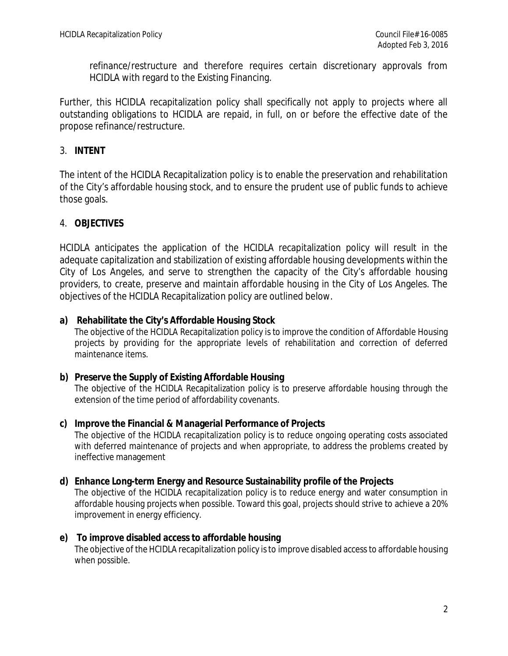refinance/restructure and therefore requires certain discretionary approvals from HCIDLA with regard to the Existing Financing.

Further, this HCIDLA recapitalization policy shall specifically not apply to projects where all outstanding obligations to HCIDLA are repaid, in full, on or before the effective date of the propose refinance/restructure.

### 3. **INTENT**

The intent of the HCIDLA Recapitalization policy is to enable the preservation and rehabilitation of the City's affordable housing stock, and to ensure the prudent use of public funds to achieve those goals.

### 4. **OBJECTIVES**

HCIDLA anticipates the application of the HCIDLA recapitalization policy will result in the adequate capitalization and stabilization of existing affordable housing developments within the City of Los Angeles, and serve to strengthen the capacity of the City's affordable housing providers, to create, preserve and maintain affordable housing in the City of Los Angeles. The objectives of the HCIDLA Recapitalization policy are outlined below.

#### **a) Rehabilitate the City's Affordable Housing Stock**

The objective of the HCIDLA Recapitalization policy is to improve the condition of Affordable Housing projects by providing for the appropriate levels of rehabilitation and correction of deferred maintenance items.

#### **b) Preserve the Supply of Existing Affordable Housing**

The objective of the HCIDLA Recapitalization policy is to preserve affordable housing through the extension of the time period of affordability covenants.

#### **c) Improve the Financial & Managerial Performance of Projects**

The objective of the HCIDLA recapitalization policy is to reduce ongoing operating costs associated with deferred maintenance of projects and when appropriate, to address the problems created by ineffective management

#### **d) Enhance Long-term Energy and Resource Sustainability profile of the Projects**

The objective of the HCIDLA recapitalization policy is to reduce energy and water consumption in affordable housing projects when possible. Toward this goal, projects should strive to achieve a 20% improvement in energy efficiency.

#### **e) To improve disabled access to affordable housing**

The objective of the HCIDLA recapitalization policy is to improve disabled access to affordable housing when possible.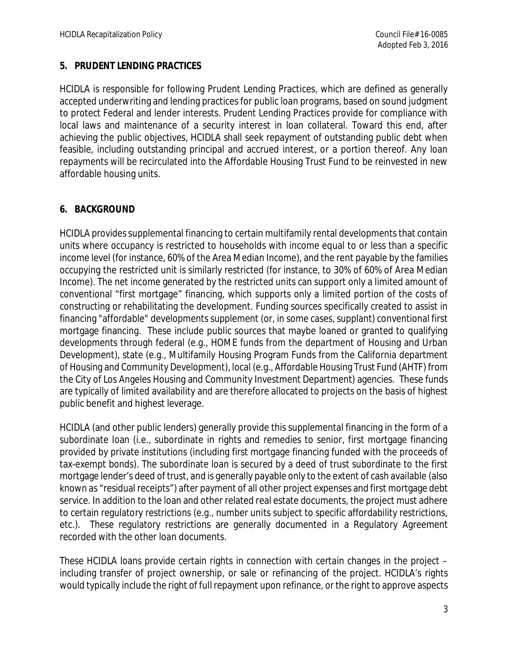#### **5. PRUDENT LENDING PRACTICES**

HCIDLA is responsible for following Prudent Lending Practices, which are defined as generally accepted underwriting and lending practices for public loan programs, based on sound judgment to protect Federal and lender interests. Prudent Lending Practices provide for compliance with local laws and maintenance of a security interest in loan collateral. Toward this end, after achieving the public objectives, HCIDLA shall seek repayment of outstanding public debt when feasible, including outstanding principal and accrued interest, or a portion thereof. Any loan repayments will be recirculated into the Affordable Housing Trust Fund to be reinvested in new affordable housing units.

### **6. BACKGROUND**

HCIDLA provides supplemental financing to certain multifamily rental developments that contain units where occupancy is restricted to households with income equal to or less than a specific income level (for instance, 60% of the Area Median Income), and the rent payable by the families occupying the restricted unit is similarly restricted (for instance, to 30% of 60% of Area Median Income). The net income generated by the restricted units can support only a limited amount of conventional "first mortgage" financing, which supports only a limited portion of the costs of constructing or rehabilitating the development. Funding sources specifically created to assist in financing "affordable" developments supplement (or, in some cases, supplant) conventional first mortgage financing. These include public sources that maybe loaned or granted to qualifying developments through federal (e.g., HOME funds from the department of Housing and Urban Development), state (e.g., Multifamily Housing Program Funds from the California department of Housing and Community Development), local (e.g., Affordable Housing Trust Fund (AHTF) from the City of Los Angeles Housing and Community Investment Department) agencies. These funds are typically of limited availability and are therefore allocated to projects on the basis of highest public benefit and highest leverage.

HCIDLA (and other public lenders) generally provide this supplemental financing in the form of a subordinate loan (i.e., subordinate in rights and remedies to senior, first mortgage financing provided by private institutions (including first mortgage financing funded with the proceeds of tax-exempt bonds). The subordinate loan is secured by a deed of trust subordinate to the first mortgage lender's deed of trust, and is generally payable only to the extent of cash available (also known as "residual receipts") after payment of all other project expenses and first mortgage debt service. In addition to the loan and other related real estate documents, the project must adhere to certain regulatory restrictions (e.g., number units subject to specific affordability restrictions, etc.). These regulatory restrictions are generally documented in a Regulatory Agreement recorded with the other loan documents.

These HCIDLA loans provide certain rights in connection with certain changes in the project – including transfer of project ownership, or sale or refinancing of the project. HCIDLA's rights would typically include the right of full repayment upon refinance, or the right to approve aspects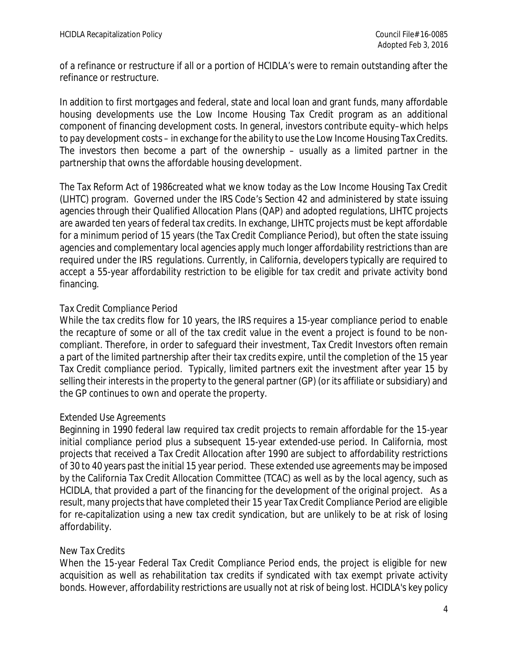of a refinance or restructure if all or a portion of HCIDLA's were to remain outstanding after the refinance or restructure.

In addition to first mortgages and federal, state and local loan and grant funds, many affordable housing developments use the Low Income Housing Tax Credit program as an additional component of financing development costs. In general, investors contribute equity–which helps to pay development costs – in exchange for the ability to use the Low Income Housing Tax Credits. The investors then become a part of the ownership – usually as a limited partner in the partnership that owns the affordable housing development.

The Tax Reform Act of 1986created what we know today as the Low Income Housing Tax Credit (LIHTC) program. Governed under the IRS Code's Section 42 and administered by state issuing agencies through their Qualified Allocation Plans (QAP) and adopted regulations, LIHTC projects are awarded ten years of federal tax credits. In exchange, LIHTC projects must be kept affordable for a minimum period of 15 years (the Tax Credit Compliance Period), but often the state issuing agencies and complementary local agencies apply much longer affordability restrictions than are required under the IRS regulations. Currently, in California, developers typically are required to accept a 55-year affordability restriction to be eligible for tax credit and private activity bond financing.

### *Tax Credit Compliance Period*

While the tax credits flow for 10 years, the IRS requires a 15-year compliance period to enable the recapture of some or all of the tax credit value in the event a project is found to be noncompliant. Therefore, in order to safeguard their investment, Tax Credit Investors often remain a part of the limited partnership after their tax credits expire, until the completion of the 15 year Tax Credit compliance period. Typically, limited partners exit the investment after year 15 by selling their interests in the property to the general partner (GP) (or its affiliate or subsidiary) and the GP continues to own and operate the property.

### *Extended Use Agreements*

Beginning in 1990 federal law required tax credit projects to remain affordable for the 15-year initial compliance period plus a subsequent 15-year extended-use period. In California, most projects that received a Tax Credit Allocation after 1990 are subject to affordability restrictions of 30 to 40 years past the initial 15 year period. These extended use agreements may be imposed by the California Tax Credit Allocation Committee (TCAC) as well as by the local agency, such as HCIDLA, that provided a part of the financing for the development of the original project. As a result, many projects that have completed their 15 year Tax Credit Compliance Period are eligible for re-capitalization using a new tax credit syndication, but are unlikely to be at risk of losing affordability.

### *New Tax Credits*

When the 15-year Federal Tax Credit Compliance Period ends, the project is eligible for new acquisition as well as rehabilitation tax credits if syndicated with tax exempt private activity bonds. However, affordability restrictions are usually not at risk of being lost. HCIDLA's key policy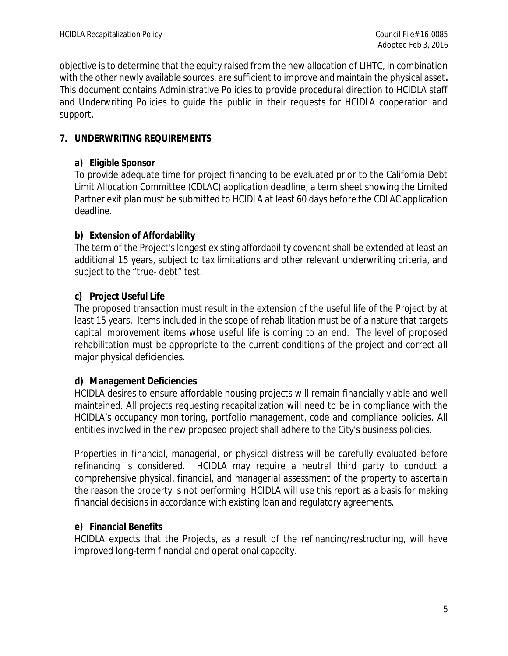objective is to determine that the equity raised from the new allocation of LIHTC, in combination with the other newly available sources, are sufficient to improve and maintain the physical asset**.** This document contains Administrative Policies to provide procedural direction to HCIDLA staff and Underwriting Policies to guide the public in their requests for HCIDLA cooperation and support.

# **7. UNDERWRITING REQUIREMENTS**

# **a) Eligible Sponsor**

To provide adequate time for project financing to be evaluated prior to the California Debt Limit Allocation Committee (CDLAC) application deadline, a term sheet showing the Limited Partner exit plan must be submitted to HCIDLA at least 60 days before the CDLAC application deadline.

# **b) Extension of Affordability**

The term of the Project's longest existing affordability covenant shall be extended at least an additional 15 years, subject to tax limitations and other relevant underwriting criteria, and subject to the "true- debt" test.

# **c) Project Useful Life**

The proposed transaction must result in the extension of the useful life of the Project by at least 15 years. Items included in the scope of rehabilitation must be of a nature that targets capital improvement items whose useful life is coming to an end. The level of proposed rehabilitation must be appropriate to the current conditions of the project and correct all major physical deficiencies.

# **d) Management Deficiencies**

HCIDLA desires to ensure affordable housing projects will remain financially viable and well maintained. All projects requesting recapitalization will need to be in compliance with the HCIDLA's occupancy monitoring, portfolio management, code and compliance policies. All entities involved in the new proposed project shall adhere to the City's business policies.

Properties in financial, managerial, or physical distress will be carefully evaluated before refinancing is considered. HCIDLA may require a neutral third party to conduct a comprehensive physical, financial, and managerial assessment of the property to ascertain the reason the property is not performing. HCIDLA will use this report as a basis for making financial decisions in accordance with existing loan and regulatory agreements.

# **e) Financial Benefits**

HCIDLA expects that the Projects, as a result of the refinancing/restructuring, will have improved long-term financial and operational capacity.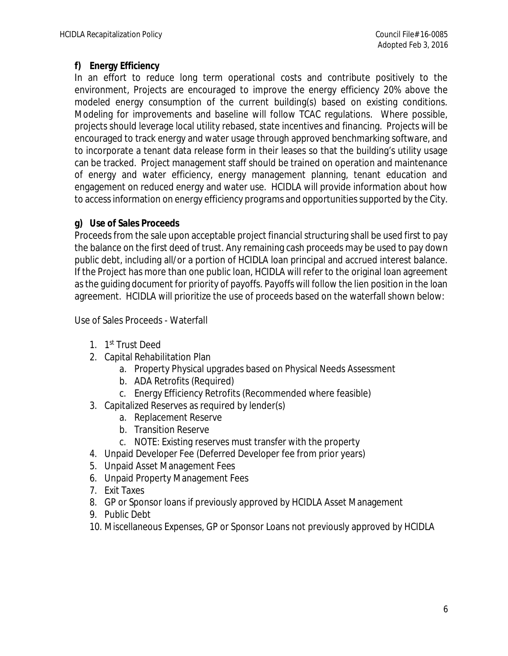# **f) Energy Efficiency**

In an effort to reduce long term operational costs and contribute positively to the environment, Projects are encouraged to improve the energy efficiency 20% above the modeled energy consumption of the current building(s) based on existing conditions. Modeling for improvements and baseline will follow TCAC regulations. Where possible, projects should leverage local utility rebased, state incentives and financing. Projects will be encouraged to track energy and water usage through approved benchmarking software, and to incorporate a tenant data release form in their leases so that the building's utility usage can be tracked. Project management staff should be trained on operation and maintenance of energy and water efficiency, energy management planning, tenant education and engagement on reduced energy and water use. HCIDLA will provide information about how to access information on energy efficiency programs and opportunities supported by the City.

### **g) Use of Sales Proceeds**

Proceeds from the sale upon acceptable project financial structuring shall be used first to pay the balance on the first deed of trust. Any remaining cash proceeds may be used to pay down public debt, including all/or a portion of HCIDLA loan principal and accrued interest balance. If the Project has more than one public loan, HCIDLA will refer to the original loan agreement as the guiding document for priority of payoffs. Payoffs will follow the lien position in the loan agreement. HCIDLA will prioritize the use of proceeds based on the waterfall shown below:

Use of Sales Proceeds - Waterfall

- 1. 1<sup>st</sup> Trust Deed
- 2. Capital Rehabilitation Plan
	- a. Property Physical upgrades based on Physical Needs Assessment
	- b. ADA Retrofits (Required)
	- c. Energy Efficiency Retrofits (Recommended where feasible)
- 3. Capitalized Reserves as required by lender(s)
	- a. Replacement Reserve
	- b. Transition Reserve
	- c. NOTE: Existing reserves must transfer with the property
- 4. Unpaid Developer Fee (Deferred Developer fee from prior years)
- 5. Unpaid Asset Management Fees
- 6. Unpaid Property Management Fees
- 7. Exit Taxes
- 8. GP or Sponsor loans if previously approved by HCIDLA Asset Management
- 9. Public Debt
- 10. Miscellaneous Expenses, GP or Sponsor Loans not previously approved by HCIDLA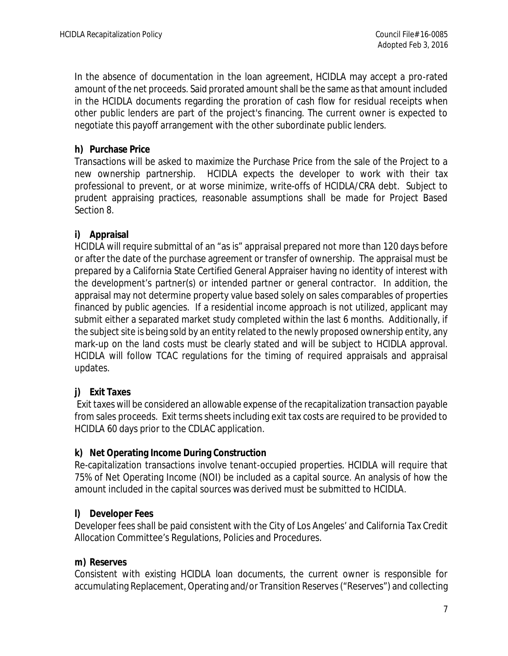In the absence of documentation in the loan agreement, HCIDLA may accept a pro-rated amount of the net proceeds. Said prorated amount shall be the same as that amount included in the HCIDLA documents regarding the proration of cash flow for residual receipts when other public lenders are part of the project's financing. The current owner is expected to negotiate this payoff arrangement with the other subordinate public lenders.

## **h) Purchase Price**

Transactions will be asked to maximize the Purchase Price from the sale of the Project to a new ownership partnership. HCIDLA expects the developer to work with their tax professional to prevent, or at worse minimize, write-offs of HCIDLA/CRA debt. Subject to prudent appraising practices, reasonable assumptions shall be made for Project Based Section 8.

# **i) Appraisal**

HCIDLA will require submittal of an "as is" appraisal prepared not more than 120 days before or after the date of the purchase agreement or transfer of ownership. The appraisal must be prepared by a California State Certified General Appraiser having no identity of interest with the development's partner(s) or intended partner or general contractor. In addition, the appraisal may not determine property value based solely on sales comparables of properties financed by public agencies. If a residential income approach is not utilized, applicant may submit either a separated market study completed within the last 6 months. Additionally, if the subject site is being sold by an entity related to the newly proposed ownership entity, any mark-up on the land costs must be clearly stated and will be subject to HCIDLA approval. HCIDLA will follow TCAC regulations for the timing of required appraisals and appraisal updates.

### **j) Exit Taxes**

Exit taxes will be considered an allowable expense of the recapitalization transaction payable from sales proceeds. Exit terms sheets including exit tax costs are required to be provided to HCIDLA 60 days prior to the CDLAC application.

### **k) Net Operating Income During Construction**

Re-capitalization transactions involve tenant-occupied properties. HCIDLA will require that 75% of Net Operating Income (NOI) be included as a capital source. An analysis of how the amount included in the capital sources was derived must be submitted to HCIDLA.

### **l) Developer Fees**

Developer fees shall be paid consistent with the City of Los Angeles' and California Tax Credit Allocation Committee's Regulations, Policies and Procedures.

### **m) Reserves**

Consistent with existing HCIDLA loan documents, the current owner is responsible for accumulating Replacement, Operating and/or Transition Reserves ("Reserves") and collecting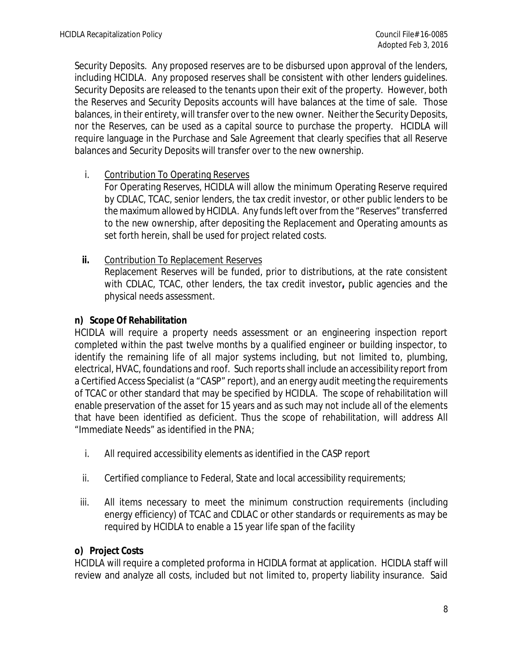Security Deposits. Any proposed reserves are to be disbursed upon approval of the lenders, including HCIDLA. Any proposed reserves shall be consistent with other lenders guidelines. Security Deposits are released to the tenants upon their exit of the property. However, both the Reserves and Security Deposits accounts will have balances at the time of sale. Those balances, in their entirety, will transfer over to the new owner. Neither the Security Deposits, nor the Reserves, can be used as a capital source to purchase the property. HCIDLA will require language in the Purchase and Sale Agreement that clearly specifies that all Reserve balances and Security Deposits will transfer over to the new ownership.

i. Contribution To Operating Reserves

For Operating Reserves, HCIDLA will allow the minimum Operating Reserve required by CDLAC, TCAC, senior lenders, the tax credit investor, or other public lenders to be the maximum allowed by HCIDLA. Any funds left over from the "Reserves" transferred to the new ownership, after depositing the Replacement and Operating amounts as set forth herein, shall be used for project related costs.

**ii.** Contribution To Replacement Reserves Replacement Reserves will be funded, prior to distributions, at the rate consistent with CDLAC, TCAC, other lenders, the tax credit investor**,** public agencies and the physical needs assessment.

#### **n) Scope Of Rehabilitation**

HCIDLA will require a property needs assessment or an engineering inspection report completed within the past twelve months by a qualified engineer or building inspector, to identify the remaining life of all major systems including, but not limited to, plumbing, electrical, HVAC, foundations and roof. Such reports shall include an accessibility report from a Certified Access Specialist (a "CASP" report), and an energy audit meeting the requirements of TCAC or other standard that may be specified by HCIDLA. The scope of rehabilitation will enable preservation of the asset for 15 years and as such may not include all of the elements that have been identified as deficient. Thus the scope of rehabilitation, will address All "Immediate Needs" as identified in the PNA;

- i. All required accessibility elements as identified in the CASP report
- ii. Certified compliance to Federal, State and local accessibility requirements;
- iii. All items necessary to meet the minimum construction requirements (including energy efficiency) of TCAC and CDLAC or other standards or requirements as may be required by HCIDLA to enable a 15 year life span of the facility

### **o) Project Costs**

HCIDLA will require a completed *proforma* in HCIDLA format at application. HCIDLA staff will review and analyze all costs, included but not limited to, property liability insurance. Said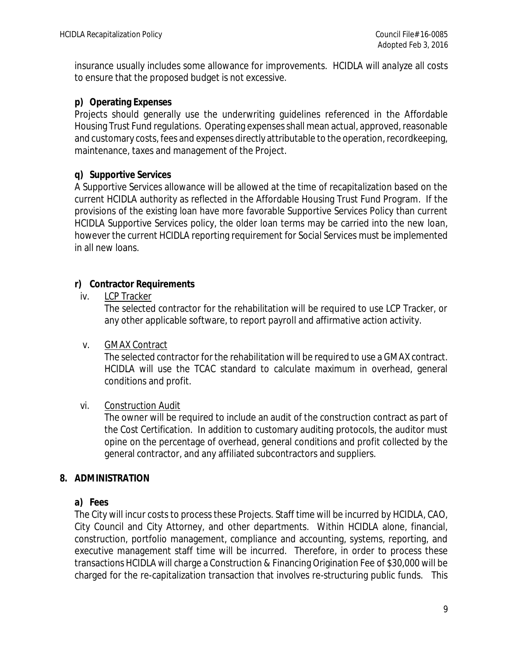insurance usually includes some allowance for improvements. HCIDLA will analyze all costs to ensure that the proposed budget is not excessive.

### **p) Operating Expenses**

Projects should generally use the underwriting guidelines referenced in the Affordable Housing Trust Fund regulations. Operating expenses shall mean actual, approved, reasonable and customary costs, fees and expenses directly attributable to the operation, recordkeeping, maintenance, taxes and management of the Project.

### **q) Supportive Services**

A Supportive Services allowance will be allowed at the time of recapitalization based on the current HCIDLA authority as reflected in the Affordable Housing Trust Fund Program. If the provisions of the existing loan have more favorable Supportive Services Policy than current HCIDLA Supportive Services policy, the older loan terms may be carried into the new loan, however the current HCIDLA reporting requirement for Social Services must be implemented in all new loans.

#### **r) Contractor Requirements**

iv. LCP Tracker

The selected contractor for the rehabilitation will be required to use LCP Tracker, or any other applicable software, to report payroll and affirmative action activity.

#### v. GMAX Contract

The selected contractor for the rehabilitation will be required to use a GMAX contract. HCIDLA will use the TCAC standard to calculate maximum in overhead, general conditions and profit.

### vi. Construction Audit

The owner will be required to include an audit of the construction contract as part of the Cost Certification. In addition to customary auditing protocols, the auditor must opine on the percentage of overhead, general conditions and profit collected by the general contractor, and any affiliated subcontractors and suppliers.

#### **8. ADMINISTRATION**

### **a) Fees**

The City will incur costs to process these Projects. Staff time will be incurred by HCIDLA, CAO, City Council and City Attorney, and other departments. Within HCIDLA alone, financial, construction, portfolio management, compliance and accounting, systems, reporting, and executive management staff time will be incurred. Therefore, in order to process these transactions HCIDLA will charge a Construction & Financing Origination Fee of \$30,000 will be charged for the re-capitalization transaction that involves re-structuring public funds. This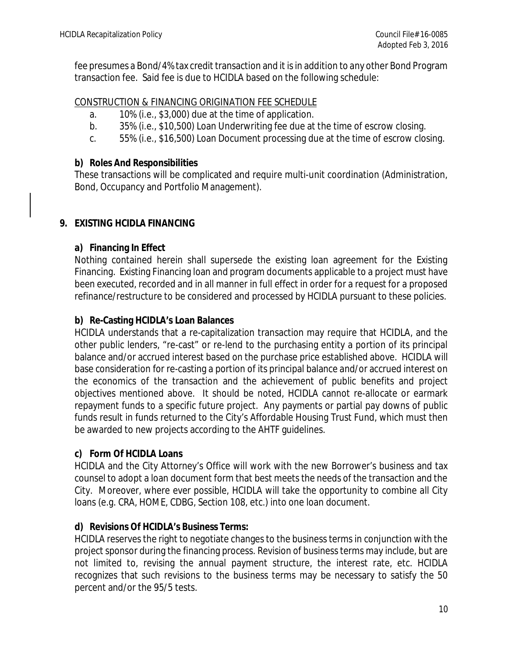fee presumes a Bond/4% tax credit transaction and it is in addition to any other Bond Program transaction fee. Said fee is due to HCIDLA based on the following schedule:

#### CONSTRUCTION & FINANCING ORIGINATION FEE SCHEDULE

- a. 10% (i.e., \$3,000) due at the time of application.
- b. 35% (i.e., \$10,500) Loan Underwriting fee due at the time of escrow closing.
- c. 55% (i.e., \$16,500) Loan Document processing due at the time of escrow closing.

#### **b) Roles And Responsibilities**

These transactions will be complicated and require multi-unit coordination (Administration, Bond, Occupancy and Portfolio Management).

### **9. EXISTING HCIDLA FINANCING**

### **a) Financing In Effect**

Nothing contained herein shall supersede the existing loan agreement for the Existing Financing. Existing Financing loan and program documents applicable to a project must have been executed, recorded and in all manner in full effect in order for a request for a proposed refinance/restructure to be considered and processed by HCIDLA pursuant to these policies.

#### **b) Re-Casting HCIDLA's Loan Balances**

HCIDLA understands that a re-capitalization transaction may require that HCIDLA, and the other public lenders, "re-cast" or re-lend to the purchasing entity a portion of its principal balance and/or accrued interest based on the purchase price established above. HCIDLA will base consideration for re-casting a portion of its principal balance and/or accrued interest on the economics of the transaction and the achievement of public benefits and project objectives mentioned above. It should be noted, HCIDLA cannot re-allocate or earmark repayment funds to a specific future project. Any payments or partial pay downs of public funds result in funds returned to the City's Affordable Housing Trust Fund, which must then be awarded to new projects according to the AHTF guidelines.

### **c) Form Of HCIDLA Loans**

HCIDLA and the City Attorney's Office will work with the new Borrower's business and tax counsel to adopt a loan document form that best meets the needs of the transaction and the City. Moreover, where ever possible, HCIDLA will take the opportunity to combine all City loans (e.g. CRA, HOME, CDBG, Section 108, etc.) into one loan document.

### **d) Revisions Of HCIDLA's Business Terms:**

HCIDLA reserves the right to negotiate changes to the business terms in conjunction with the project sponsor during the financing process. Revision of business terms may include, but are not limited to, revising the annual payment structure, the interest rate, etc. HCIDLA recognizes that such revisions to the business terms may be necessary to satisfy the 50 percent and/or the 95/5 tests.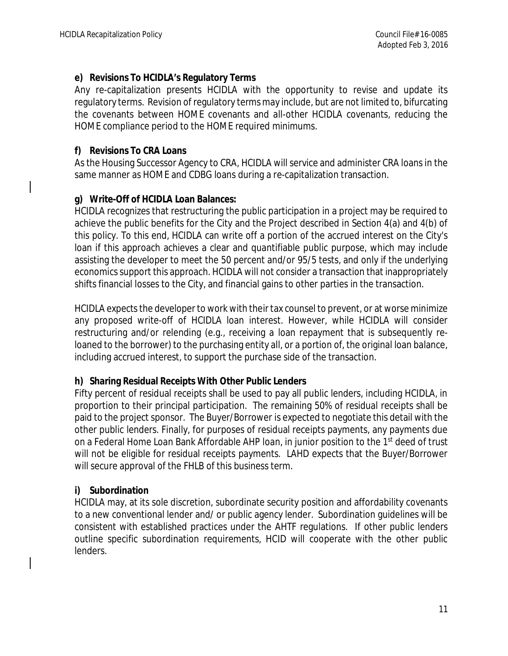#### **e) Revisions To HCIDLA's Regulatory Terms**

Any re-capitalization presents HCIDLA with the opportunity to revise and update its regulatory terms. Revision of regulatory terms may include, but are not limited to, bifurcating the covenants between HOME covenants and all-other HCIDLA covenants, reducing the HOME compliance period to the HOME required minimums.

#### **f) Revisions To CRA Loans**

As the Housing Successor Agency to CRA, HCIDLA will service and administer CRA loans in the same manner as HOME and CDBG loans during a re-capitalization transaction.

### **g) Write-Off of HCIDLA Loan Balances:**

HCIDLA recognizes that restructuring the public participation in a project may be required to achieve the public benefits for the City and the Project described in Section 4(a) and 4(b) of this policy. To this end, HCIDLA can write off a portion of the accrued interest on the City's loan if this approach achieves a clear and quantifiable public purpose, which may include assisting the developer to meet the 50 percent and/or 95/5 tests, and only if the underlying economics support this approach. HCIDLA will not consider a transaction that inappropriately shifts financial losses to the City, and financial gains to other parties in the transaction.

HCIDLA expects the developer to work with their tax counsel to prevent, or at worse minimize any proposed write-off of HCIDLA loan interest. However, while HCIDLA will consider restructuring and/or relending (e.g., receiving a loan repayment that is subsequently reloaned to the borrower) to the purchasing entity all, or a portion of, the original loan balance, including accrued interest, to support the purchase side of the transaction.

#### **h) Sharing Residual Receipts With Other Public Lenders**

Fifty percent of residual receipts shall be used to pay all public lenders, including HCIDLA, in proportion to their principal participation. The remaining 50% of residual receipts shall be paid to the project sponsor. The Buyer/Borrower is expected to negotiate this detail with the other public lenders. Finally, for purposes of residual receipts payments, any payments due on a Federal Home Loan Bank Affordable AHP loan, in junior position to the 1<sup>st</sup> deed of trust will not be eligible for residual receipts payments. LAHD expects that the Buyer/Borrower will secure approval of the FHLB of this business term.

### **i) Subordination**

HCIDLA may, at its sole discretion, subordinate security position and affordability covenants to a new conventional lender and/ or public agency lender. Subordination guidelines will be consistent with established practices under the AHTF regulations. If other public lenders outline specific subordination requirements, HCID will cooperate with the other public lenders.